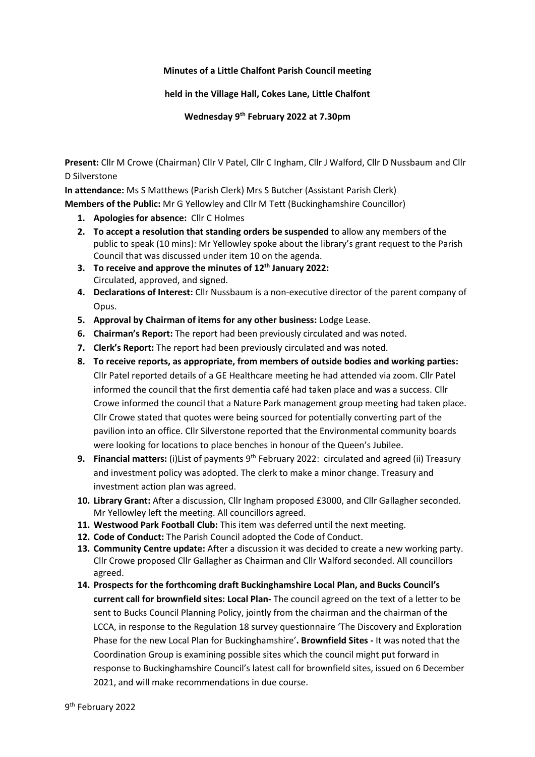## **Minutes of a Little Chalfont Parish Council meeting**

## **held in the Village Hall, Cokes Lane, Little Chalfont**

**Wednesday 9 th February 2022 at 7.30pm**

**Present:** Cllr M Crowe (Chairman) Cllr V Patel, Cllr C Ingham, Cllr J Walford, Cllr D Nussbaum and Cllr D Silverstone

**In attendance:** Ms S Matthews (Parish Clerk) Mrs S Butcher (Assistant Parish Clerk)

**Members of the Public:** Mr G Yellowley and Cllr M Tett (Buckinghamshire Councillor)

- **1. Apologies for absence:** Cllr C Holmes
- **2. To accept a resolution that standing orders be suspended** to allow any members of the public to speak (10 mins): Mr Yellowley spoke about the library's grant request to the Parish Council that was discussed under item 10 on the agenda.
- **3. To receive and approve the minutes of 12 th January 2022:**  Circulated, approved, and signed.
- **4. Declarations of Interest:** Cllr Nussbaum is a non-executive director of the parent company of Opus.
- **5. Approval by Chairman of items for any other business:** Lodge Lease.
- **6. Chairman's Report:** The report had been previously circulated and was noted.
- **7. Clerk's Report:** The report had been previously circulated and was noted.
- **8. To receive reports, as appropriate, from members of outside bodies and working parties:** Cllr Patel reported details of a GE Healthcare meeting he had attended via zoom. Cllr Patel informed the council that the first dementia café had taken place and was a success. Cllr Crowe informed the council that a Nature Park management group meeting had taken place. Cllr Crowe stated that quotes were being sourced for potentially converting part of the pavilion into an office. Cllr Silverstone reported that the Environmental community boards were looking for locations to place benches in honour of the Queen's Jubilee.
- **9. Financial matters:** (i)List of payments 9<sup>th</sup> February 2022: circulated and agreed (ii) Treasury and investment policy was adopted. The clerk to make a minor change. Treasury and investment action plan was agreed.
- **10. Library Grant:** After a discussion, Cllr Ingham proposed £3000, and Cllr Gallagher seconded. Mr Yellowley left the meeting. All councillors agreed.
- **11. Westwood Park Football Club:** This item was deferred until the next meeting.
- **12. Code of Conduct:** The Parish Council adopted the Code of Conduct.
- **13. Community Centre update:** After a discussion it was decided to create a new working party. Cllr Crowe proposed Cllr Gallagher as Chairman and Cllr Walford seconded. All councillors agreed.
- **14. Prospects for the forthcoming draft Buckinghamshire Local Plan, and Bucks Council's current call for brownfield sites: Local Plan-** The council agreed on the text of a letter to be sent to Bucks Council Planning Policy, jointly from the chairman and the chairman of the LCCA, in response to the Regulation 18 survey questionnaire 'The Discovery and Exploration Phase for the new Local Plan for Buckinghamshire'**. Brownfield Sites -** It was noted that the Coordination Group is examining possible sites which the council might put forward in response to Buckinghamshire Council's latest call for brownfield sites, issued on 6 December 2021, and will make recommendations in due course.